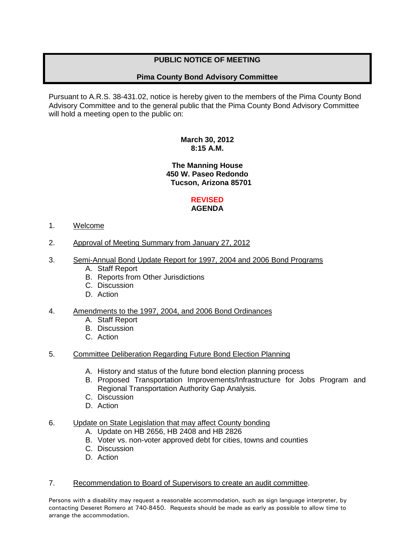# **PUBLIC NOTICE OF MEETING**

## **Pima County Bond Advisory Committee**

Pursuant to A.R.S. 38-431.02, notice is hereby given to the members of the Pima County Bond Advisory Committee and to the general public that the Pima County Bond Advisory Committee will hold a meeting open to the public on:

### **March 30, 2012 8:15 A.M.**

### **The Manning House 450 W. Paseo Redondo Tucson, Arizona 85701**

# **REVISED**

# **AGENDA**

- 1. Welcome
- 2. Approval of Meeting Summary from January 27, 2012
- 3. Semi-Annual Bond Update Report for 1997, 2004 and 2006 Bond Programs
	- A. Staff Report
	- B. Reports from Other Jurisdictions
	- C. Discussion
	- D. Action
- 4. Amendments to the 1997, 2004, and 2006 Bond Ordinances
	- A. Staff Report
	- B. Discussion
	- C. Action
- 5. Committee Deliberation Regarding Future Bond Election Planning
	- A. History and status of the future bond election planning process
	- B. Proposed Transportation Improvements/Infrastructure for Jobs Program and Regional Transportation Authority Gap Analysis.
	- C. Discussion
	- D. Action
- 6. Update on State Legislation that may affect County bonding
	- A. Update on HB 2656, HB 2408 and HB 2826
	- B. Voter vs. non-voter approved debt for cities, towns and counties
	- C. Discussion
	- D. Action

#### 7. Recommendation to Board of Supervisors to create an audit committee.

Persons with a disability may request a reasonable accommodation, such as sign language interpreter, by contacting Deseret Romero at 740-8450. Requests should be made as early as possible to allow time to arrange the accommodation.